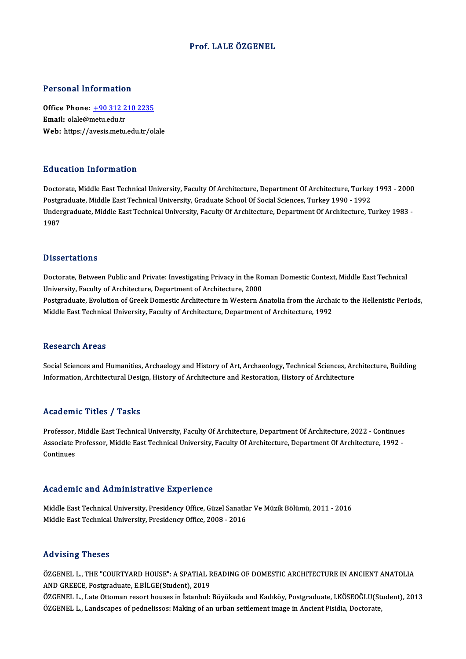## Prof. LALE ÖZGENEL

#### Personal Information

Personal Information<br>Office Phone: <u>+90 312 210 2235</u><br>Email: clab@matu.edu.tr office Phone: <u>+90 312 2</u><br>Email: olale@metu.edu.tr<br>Web: https://avesis.metu. Email: olale@metu.edu.tr<br>Web: https://a[vesis.metu.edu.tr/o](tel:+90 312 210 2235)lale

#### Education Information

Doctorate, Middle East Technical University, Faculty Of Architecture, Department Of Architecture, Turkey 1993 - 2000 Put Sutrom Thrommution<br>Doctorate, Middle East Technical University, Faculty Of Architecture, Department Of Architecture, Turkey<br>Postgraduate, Middle East Technical University, Graduate School Of Social Sciences, Turkey 199 Undergraduate, Middle East Technical University, Faculty Of Architecture, Department Of Architecture, Turkey 1983 -<br>1987 Postgi<br>Under<br>1987

#### **Dissertations**

Dissertations<br>Doctorate, Between Public and Private: Investigating Privacy in the Roman Domestic Context, Middle East Technical<br>University, Fasulty of Anghitecture, Department of Anghitecture, 2000. University, Between Public and Private: Investigating Privacy in the Ro<br>University, Faculty of Architecture, Department of Architecture, 2000<br>Pestaveduate, Evelution of Creek Demestic Architecture in Western A Doctorate, Between Public and Private: Investigating Privacy in the Roman Domestic Context, Middle East Technical<br>University, Faculty of Architecture, Department of Architecture, 2000<br>Postgraduate, Evolution of Greek Domes University, Faculty of Architecture, Department of Architecture, 2000<br>Postgraduate, Evolution of Greek Domestic Architecture in Western Anatolia from the Archaic to the Hellenistic Periods,<br>Middle East Technical University

#### **Research Areas**

Social Sciences and Humanities, Archaelogy and History of Art, Archaeology, Technical Sciences, Architecture, Building Information, Architectural Design, History of Architecture and Restoration, History of Architecture

### Academic Titles / Tasks

Academic Titles / Tasks<br>Professor, Middle East Technical University, Faculty Of Architecture, Department Of Architecture, 2022 - Continues<br>Assesiste Professor, Middle Fost Technical University, Faculty Of Architecture, Dep AssociateMic Traces / Tassis<br>Professor, Middle East Technical University, Faculty Of Architecture, Department Of Architecture, 2022 - Continues<br>Associate Professor, Middle East Technical University, Faculty Of Architecture Professor,<br>Associate I<br>Continues

## Academic and Administrative Experience

Academic and Administrative Experience<br>Middle East Technical University, Presidency Office, Güzel Sanatlar Ve Müzik Bölümü, 2011 - 2016<br>Middle Fast Technical University, Presidency Office, 2008 - 2016 Middle East Technical University, Presidency Office, Güzel Sanatla<br>Middle East Technical University, Presidency Office, 2008 - 2016<br>Middle East Technical University, Presidency Office, 2008 - 2016 Middle East Technical University, Presidency Office, 2008 - 2016<br>Advising Theses

ÖZGENEL L., THE "COURTYARD HOUSE": A SPATIAL READING OF DOMESTIC ARCHITECTURE IN ANCIENT ANATOLIA ANDGREECE,Postgraduate,E.BİLGE(Student),2019

ÖZGENEL L., Late Ottoman resort houses in İstanbul: Büyükada and Kadıköy, Postgraduate, I.KÖSEOĞLU(Student), 2013 ÖZGENEL L., Landscapes of pednelissos: Making of an urban settlement image in Ancient Pisidia, Doctorate,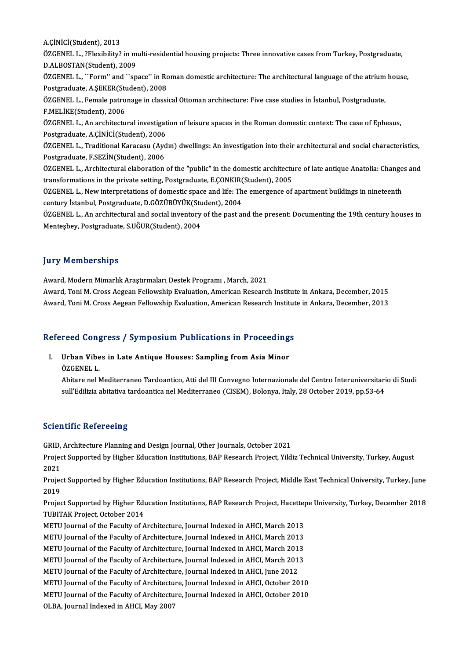A.ÇİNİCİ(Student),2013

A.ÇİNİCİ(Student), 2013<br>ÖZGENEL L., ?Flexibility? in multi-residential housing projects: Three innovative cases from Turkey, Postgraduate,<br>P.ALBOSTAN(Student), 2000 A.ÇİNİCİ(Student), 2013<br>ÖZGENEL L., ?Flexibility? in m<br>D.ALBOSTAN(Student), 2009<br>ÖZGENEL L. ``Form'' and ``an ÖZGENEL L., ?Flexibility? in multi-residential housing projects: Three innovative cases from Turkey, Postgraduate,<br>D.ALBOSTAN(Student), 2009<br>ÖZGENEL L., ``Form'' and ``space'' in Roman domestic architecture: The architectu

D.ALBOSTAN(Student), 2009<br>ÖZGENEL L., ``Form'' and ``space'' in Ro<br>Postgraduate, A.ŞEKER(Student), 2008<br>ÖZCENEL L. Eomala patronage in classi ÖZGENEL L., ``Form'' and ``space'' in Roman domestic architecture: The architectural language of the atrium<br>Postgraduate, A.ŞEKER(Student), 2008<br>ÖZGENEL L., Female patronage in classical Ottoman architecture: Five case stu

Postgraduate, A.ŞEKER(Student), 2008<br>ÖZGENEL L., Female patronage in class<br>F.MELİKE(Student), 2006 ÖZGENEL L., Female patronage in classical Ottoman architecture: Five case studies in İstanbul, Postgraduate,<br>F.MELİKE(Student), 2006<br>ÖZGENEL L., An architectural investigation of leisure spaces in the Roman domestic contex

ÖZGENEL L., An architectural investigation of leisure spaces in the Roman domestic context: The case of Ephesus, ÖZGENEL L., An architectural investigation of leisure spaces in the Roman domestic context: The case of Ephesus,<br>Postgraduate, A.ÇİNİCİ(Student), 2006<br>ÖZGENEL L., Traditional Karacasu (Aydın) dwellings: An investigation in

Postgraduate, A.ÇİNİCİ(Student), 2006<br>ÖZGENEL L., Traditional Karacasu (Ayc<br>Postgraduate, F.SEZİN(Student), 2006<br>ÖZCENEL L. Architectural alaboration ÖZGENEL L., Traditional Karacasu (Aydın) dwellings: An investigation into their architectural and social characteristics,<br>Postgraduate, F.SEZİN(Student), 2006<br>ÖZGENEL L., Architectural elaboration of the "public" in the do

Postgraduate, F.SEZİN(Student), 2006<br>ÖZGENEL L., Architectural elaboration of the "public" in the domestic architecture of late antique Anatolia: Changes and<br>transformations in the private setting, Postgraduate, E.ÇONKIR(S ÖZGENEL L., Architectural elaboration of the "public" in the domestic architecture of late antique Anatolia: Change<br>transformations in the private setting, Postgraduate, E.CONKIR(Student), 2005<br>ÖZGENEL L., New interpretati

transformations in the private setting, Postgraduate, E.CONKIR(<br>ÖZGENEL L., New interpretations of domestic space and life: Th<br>century İstanbul, Postgraduate, D.GÖZÜBÜYÜK(Student), 2004<br>ÖZGENEL L. An architectural and soci ÖZGENEL L., New interpretations of domestic space and life: The emergence of apartment buildings in nineteenth<br>century İstanbul, Postgraduate, D.GÖZÜBÜYÜK(Student), 2004<br>ÖZGENEL L., An architectural and social inventory of

century İstanbul, Postgraduate, D.GÖZÜBÜYÜK(Student), 2004<br>ÖZGENEL L., An architectural and social inventory of the past and the present: Documenting the 19th century houses in<br>Menteşbey, Postgraduate, S.UĞUR(Student), 200

## **Jury Memberships**

Award, Modern Mimarlık Araştırmaları Destek Programı , March, 2021

Award, Toni M. Cross Aegean Fellowship Evaluation, American Research Institute in Ankara, December, 2015 Award, Toni M. Cross Aegean Fellowship Evaluation, American Research Institute in Ankara, December, 2013

# Award, Toni M. Cross Aegean Fellowship Evaluation, American Research Institutions<br>Refereed Congress / Symposium Publications in Proceedings

efereed Congress / Symposium Publications in Proceeding<br>I. Urban Vibes in Late Antique Houses: Sampling from Asia Minor Urban Vibes in Late Antique Houses: Sampling from Asia Minor<br>ÖZGENEL L.

Urban Vibes in Late Antique Houses: Sampling from Asia Minor<br>ÖZGENEL L.<br>Abitare nel Mediterraneo Tardoantico, Atti del III Convegno Internazionale del Centro Interuniversitario di Studi ÖZGENEL L.<br>Abitare nel Mediterraneo Tardoantico, Atti del III Convegno Internazionale del Centro Interuniversitari<br>sull'Edilizia abitativa tardoantica nel Mediterraneo (CISEM), Bolonya, Italy, 28 October 2019, pp.53-64 sull'Edilizia abitativa tardoantica nel Mediterraneo (CISEM), Bolonya, Italy, 28 October 2019, pp.53-64<br>Scientific Refereeing

GRID, Architecture Planning and Design Journal, Other Journals, October 2021

Berenterre Referecting<br>GRID, Architecture Planning and Design Journal, Other Journals, October 2021<br>Project Supported by Higher Education Institutions, BAP Research Project, Yildiz Technical University, Turkey, August GRID,<br>Projec<br>2021<br>Projec Project Supported by Higher Education Institutions, BAP Research Project, Yildiz Technical University, Turkey, August<br>2021<br>Project Supported by Higher Education Institutions, BAP Research Project, Middle East Technical Uni

2021<br>Projec<br>2019<br>Projec Project Supported by Higher Education Institutions, BAP Research Project, Middle East Technical University, Turkey, June<br>2019<br>Project Supported by Higher Education Institutions, BAP Research Project, Hacettepe University,

2019<br>Project Supported by Higher Education Institutions, BAP Research Project, Hacettepe University, Turkey, December 2018<br>TUBITAK Project, October 2014 Project Supported by Higher Education Institutions, BAP Research Project, Hacetter<br>TUBITAK Project, October 2014<br>METU Journal of the Faculty of Architecture, Journal Indexed in AHCI, March 2013<br>METU Journal of the Faculty TUBITAK Project, October 2014<br>METU Journal of the Faculty of Architecture, Journal Indexed in AHCI, March 2013<br>METU Journal of the Faculty of Architecture, Journal Indexed in AHCI, March 2013<br>METU Journal of the Faculty of

METU Journal of the Faculty of Architecture, Journal Indexed in AHCI, March 2013<br>METU Journal of the Faculty of Architecture, Journal Indexed in AHCI, March 2013<br>METU Journal of the Faculty of Architecture, Journal Indexed METU Journal of the Faculty of Architecture, Journal Indexed in AHCI, March 2013<br>METU Journal of the Faculty of Architecture, Journal Indexed in AHCI, March 2013<br>METU Journal of the Faculty of Architecture, Journal Indexed

METU Journal of the Faculty of Architecture, Journal Indexed in AHCI, March 201<br>METU Journal of the Faculty of Architecture, Journal Indexed in AHCI, March 201<br>METU Journal of the Faculty of Architecture, Journal Indexed i

METU Journal of the Faculty of Architecture, Journal Indexed in AHCI, March 2013<br>METU Journal of the Faculty of Architecture, Journal Indexed in AHCI, June 2012<br>METU Journal of the Faculty of Architecture, Journal Indexed

METU Journal of the Faculty of Architecture, Journal Indexed in AHCI, June 2012<br>METU Journal of the Faculty of Architecture, Journal Indexed in AHCI, October 2010<br>METU Journal of the Faculty of Architecture, Journal Indexe METU Journal of the Faculty of Architectu:<br>METU Journal of the Faculty of Architectu<br>OLBA, Journal Indexed in AHCI, May 2007